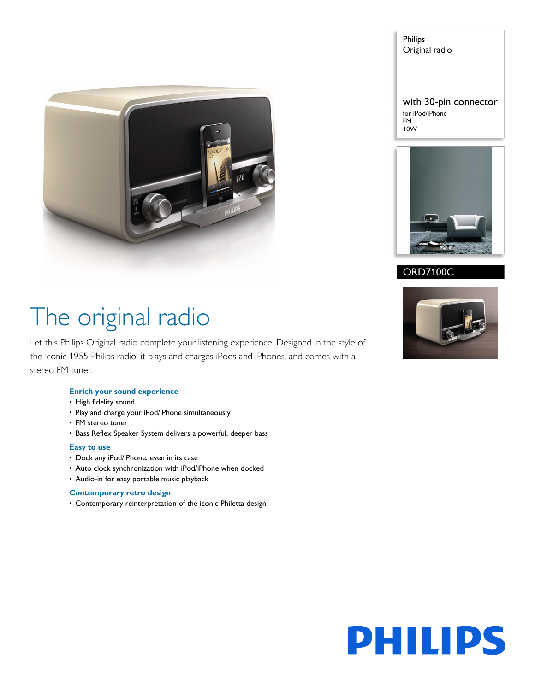

Philips Original radio

with 30-pin connector for iPod/iPhone FM 10W



### ORD7100C

## The original radio

Let this Philips Original radio complete your listening experience. Designed in the style of the iconic 1955 Philips radio, it plays and charges iPods and iPhones, and comes with a stereo FM tuner.

#### **Enrich your sound experience**

- High fidelity sound
- Play and charge your iPod/iPhone simultaneously
- FM stereo tuner
- Bass Reflex Speaker System delivers a powerful, deeper bass

#### **Easy to use**

- Dock any iPod/iPhone, even in its case
- Auto clock synchronization with iPod/iPhone when docked
- Audio-in for easy portable music playback

#### **Contemporary retro design**

• Contemporary reinterpretation of the iconic Philetta design



# **PHILIPS**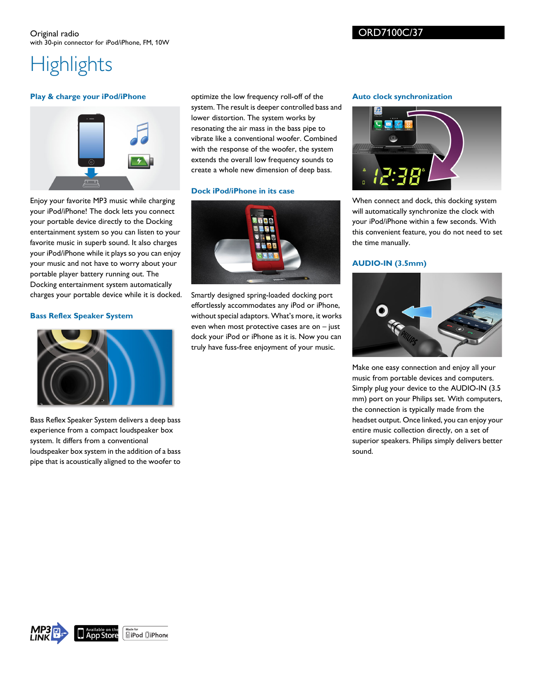### ORD7100C/37

## **Highlights**

#### **Play & charge your iPod/iPhone**



Enjoy your favorite MP3 music while charging your iPod/iPhone! The dock lets you connect your portable device directly to the Docking entertainment system so you can listen to your favorite music in superb sound. It also charges your iPod/iPhone while it plays so you can enjoy your music and not have to worry about your portable player battery running out. The Docking entertainment system automatically charges your portable device while it is docked.

#### **Bass Reflex Speaker System**



Bass Reflex Speaker System delivers a deep bass experience from a compact loudspeaker box system. It differs from a conventional loudspeaker box system in the addition of a bass pipe that is acoustically aligned to the woofer to optimize the low frequency roll-off of the system. The result is deeper controlled bass and lower distortion. The system works by resonating the air mass in the bass pipe to vibrate like a conventional woofer. Combined with the response of the woofer, the system extends the overall low frequency sounds to create a whole new dimension of deep bass.

#### **Dock iPod/iPhone in its case**



Smartly designed spring-loaded docking port effortlessly accommodates any iPod or iPhone, without special adaptors. What's more, it works even when most protective cases are on – just dock your iPod or iPhone as it is. Now you can truly have fuss-free enjoyment of your music.

#### **Auto clock synchronization**



When connect and dock, this docking system will automatically synchronize the clock with your iPod/iPhone within a few seconds. With this convenient feature, you do not need to set the time manually.

### **AUDIO-IN (3.5mm)**



Make one easy connection and enjoy all your music from portable devices and computers. Simply plug your device to the AUDIO-IN (3.5 mm) port on your Philips set. With computers, the connection is typically made from the headset output. Once linked, you can enjoy your entire music collection directly, on a set of superior speakers. Philips simply delivers better sound.